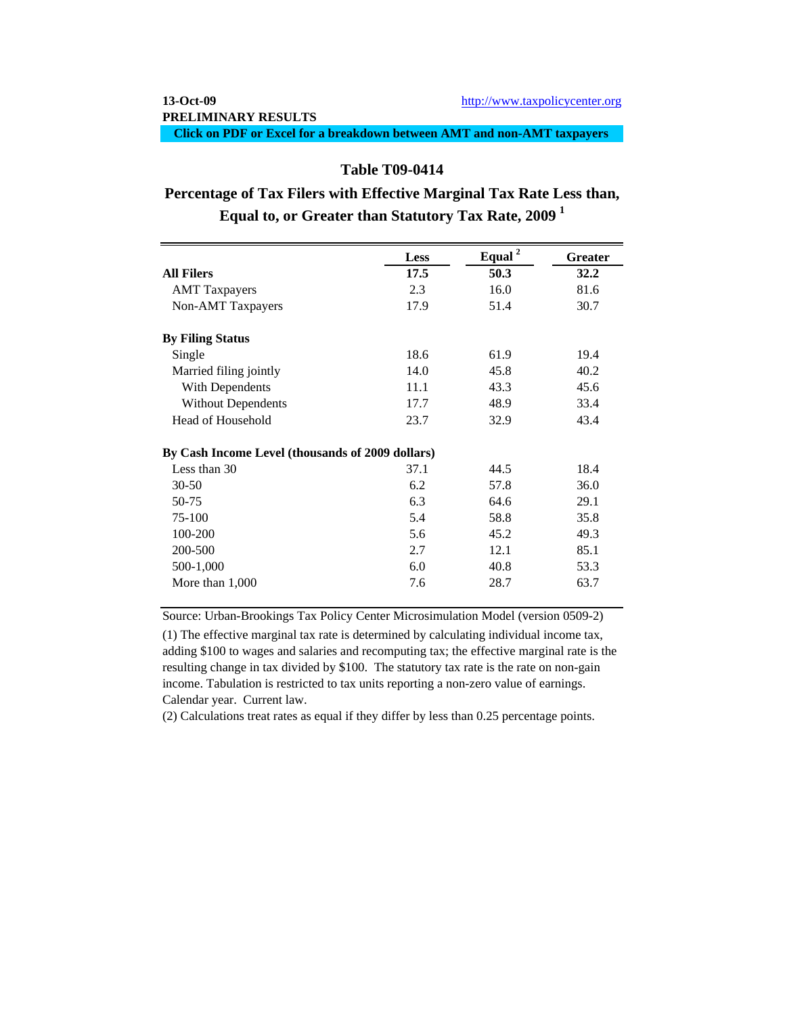# **PRELIMINARY RESULTS**

**Click on PDF or Excel for a breakdown between AMT and non-AMT taxpayers**

### **Table T09-0414**

# **Percentage of Tax Filers with Effective Marginal Tax Rate Less than, Equal to, or Greater than Statutory Tax Rate, 2009 1**

|                                                  | <b>Less</b> | Equal <sup>2</sup> | <b>Greater</b> |
|--------------------------------------------------|-------------|--------------------|----------------|
| <b>All Filers</b>                                | 17.5        | 50.3               | 32.2           |
| <b>AMT</b> Taxpayers                             | 2.3         | 16.0               | 81.6           |
| Non-AMT Taxpayers                                | 17.9        | 51.4               | 30.7           |
| <b>By Filing Status</b>                          |             |                    |                |
| Single                                           | 18.6        | 61.9               | 19.4           |
| Married filing jointly                           | 14.0        | 45.8               | 40.2           |
| With Dependents                                  | 11.1        | 43.3               | 45.6           |
| <b>Without Dependents</b>                        | 17.7        | 48.9               | 33.4           |
| Head of Household                                | 23.7        | 32.9               | 43.4           |
| By Cash Income Level (thousands of 2009 dollars) |             |                    |                |
| Less than 30                                     | 37.1        | 44.5               | 18.4           |
| $30 - 50$                                        | 6.2         | 57.8               | 36.0           |
| 50-75                                            | 6.3         | 64.6               | 29.1           |
| 75-100                                           | 5.4         | 58.8               | 35.8           |
| 100-200                                          | 5.6         | 45.2               | 49.3           |
| 200-500                                          | 2.7         | 12.1               | 85.1           |
| 500-1,000                                        | 6.0         | 40.8               | 53.3           |
| More than 1,000                                  | 7.6         | 28.7               | 63.7           |

Source: Urban-Brookings Tax Policy Center Microsimulation Model (version 0509-2)

(1) The effective marginal tax rate is determined by calculating individual income tax, adding \$100 to wages and salaries and recomputing tax; the effective marginal rate is the resulting change in tax divided by \$100. The statutory tax rate is the rate on non-gain income. Tabulation is restricted to tax units reporting a non-zero value of earnings. Calendar year. Current law.

(2) Calculations treat rates as equal if they differ by less than 0.25 percentage points.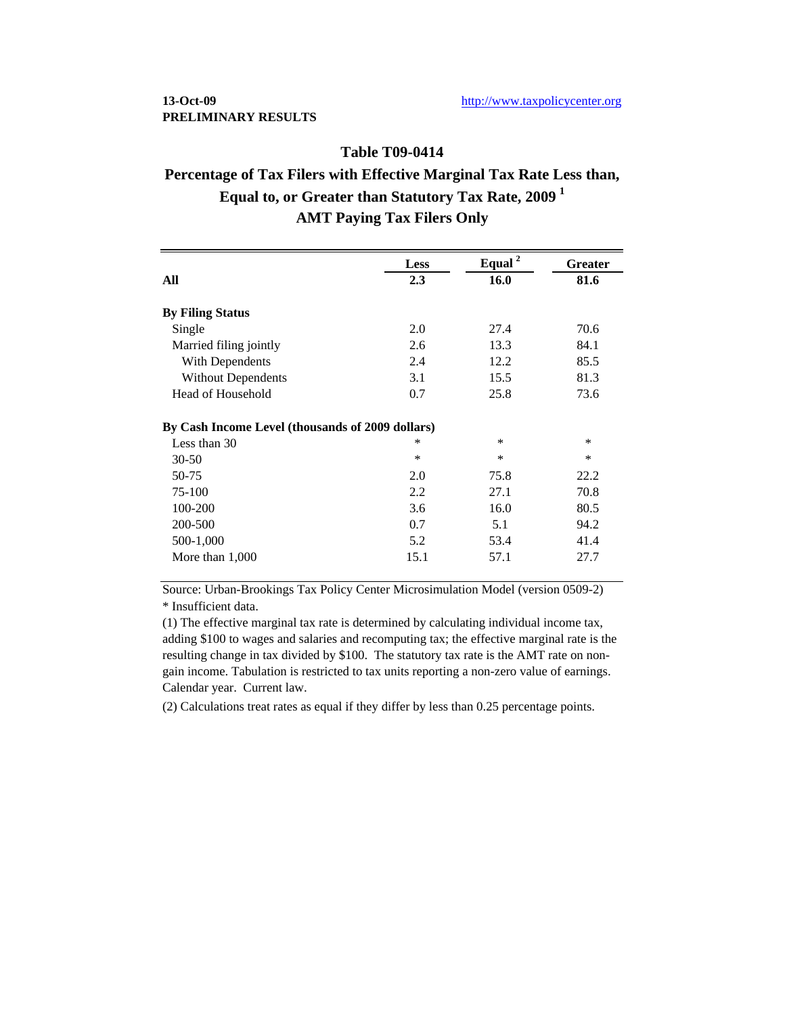#### **13-Oct-09** http://www.taxpolicycenter.org **PRELIMINARY RESULTS**

### **Table T09-0414**

# **Percentage of Tax Filers with Effective Marginal Tax Rate Less than, Equal to, or Greater than Statutory Tax Rate, 2009 1 AMT Paying Tax Filers Only**

|                                                  | <b>Less</b> | Equal <sup>2</sup> | <b>Greater</b> |
|--------------------------------------------------|-------------|--------------------|----------------|
| All                                              | 2.3         | 16.0               | 81.6           |
| <b>By Filing Status</b>                          |             |                    |                |
| Single                                           | 2.0         | 27.4               | 70.6           |
| Married filing jointly                           | 2.6         | 13.3               | 84.1           |
| With Dependents                                  | 2.4         | 12.2               | 85.5           |
| <b>Without Dependents</b>                        | 3.1         | 15.5               | 81.3           |
| Head of Household                                | 0.7         | 25.8               | 73.6           |
| By Cash Income Level (thousands of 2009 dollars) |             |                    |                |
| Less than 30                                     | $\ast$      | $\ast$             | $\ast$         |
| $30 - 50$                                        | $\ast$      | $\ast$             | $\ast$         |
| 50-75                                            | 2.0         | 75.8               | 22.2           |
| 75-100                                           | 2.2         | 27.1               | 70.8           |
| 100-200                                          | 3.6         | 16.0               | 80.5           |
| 200-500                                          | 0.7         | 5.1                | 94.2           |
| 500-1,000                                        | 5.2         | 53.4               | 41.4           |
| More than 1,000                                  | 15.1        | 57.1               | 27.7           |

Source: Urban-Brookings Tax Policy Center Microsimulation Model (version 0509-2) \* Insufficient data.

(1) The effective marginal tax rate is determined by calculating individual income tax, adding \$100 to wages and salaries and recomputing tax; the effective marginal rate is the resulting change in tax divided by \$100. The statutory tax rate is the AMT rate on nongain income. Tabulation is restricted to tax units reporting a non-zero value of earnings. Calendar year. Current law.

(2) Calculations treat rates as equal if they differ by less than 0.25 percentage points.